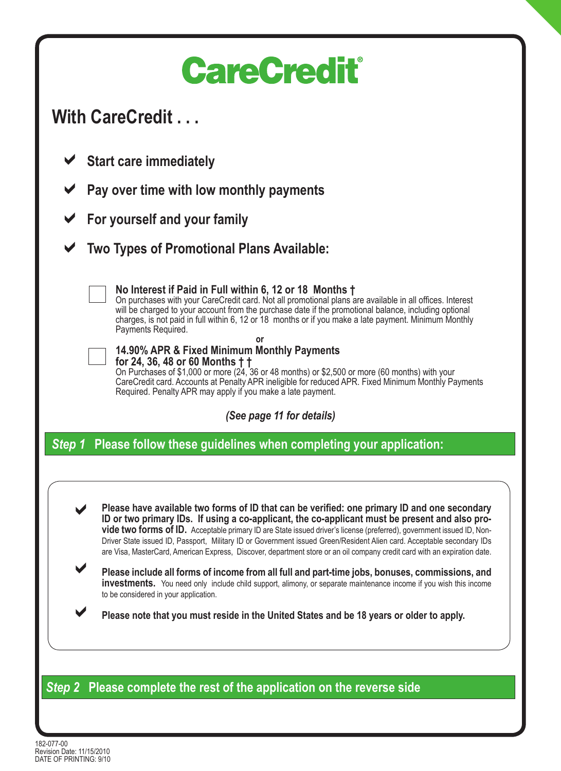|        | With CareCredit                                                                                                                                                                                                                                                                                                                                                                                                                                                                                                                                                                                                                                                                                                                                                                                                                                       |
|--------|-------------------------------------------------------------------------------------------------------------------------------------------------------------------------------------------------------------------------------------------------------------------------------------------------------------------------------------------------------------------------------------------------------------------------------------------------------------------------------------------------------------------------------------------------------------------------------------------------------------------------------------------------------------------------------------------------------------------------------------------------------------------------------------------------------------------------------------------------------|
| V      | <b>Start care immediately</b>                                                                                                                                                                                                                                                                                                                                                                                                                                                                                                                                                                                                                                                                                                                                                                                                                         |
|        | Pay over time with low monthly payments                                                                                                                                                                                                                                                                                                                                                                                                                                                                                                                                                                                                                                                                                                                                                                                                               |
|        | For yourself and your family                                                                                                                                                                                                                                                                                                                                                                                                                                                                                                                                                                                                                                                                                                                                                                                                                          |
| V      | <b>Two Types of Promotional Plans Available:</b>                                                                                                                                                                                                                                                                                                                                                                                                                                                                                                                                                                                                                                                                                                                                                                                                      |
|        | No Interest if Paid in Full within 6, 12 or 18 Months †<br>On purchases with your CareCredit card. Not all promotional plans are available in all offices. Interest<br>will be charged to your account from the purchase date if the promotional balance, including optional<br>charges, is not paid in full within 6, 12 or 18 months or if you make a late payment. Minimum Monthly<br>Payments Required.<br>14.90% APR & Fixed Minimum Monthly Payments<br>for 24, 36, 48 or 60 Months † †<br>On Purchases of \$1,000 or more (24, 36 or 48 months) or \$2,500 or more (60 months) with your<br>CareCredit card. Accounts at Penalty APR ineligible for reduced APR. Fixed Minimum Monthly Payments<br>Required. Penalty APR may apply if you make a late payment.                                                                                 |
| Step 1 | (See page 11 for details)<br>Please follow these guidelines when completing your application:                                                                                                                                                                                                                                                                                                                                                                                                                                                                                                                                                                                                                                                                                                                                                         |
|        | Please have available two forms of ID that can be verified: one primary ID and one secondary<br>ID or two primary IDs. If using a co-applicant, the co-applicant must be present and also pro-<br>vide two forms of ID. Acceptable primary ID are State issued driver's license (preferred), government issued ID, Non-<br>Driver State issued ID, Passport, Military ID or Government issued Green/Resident Alien card. Acceptable secondary IDs<br>are Visa, MasterCard, American Express, Discover, department store or an oil company credit card with an expiration date.<br>Please include all forms of income from all full and part-time jobs, bonuses, commissions, and<br><b>investments.</b> You need only include child support, alimony, or separate maintenance income if you wish this income<br>to be considered in your application. |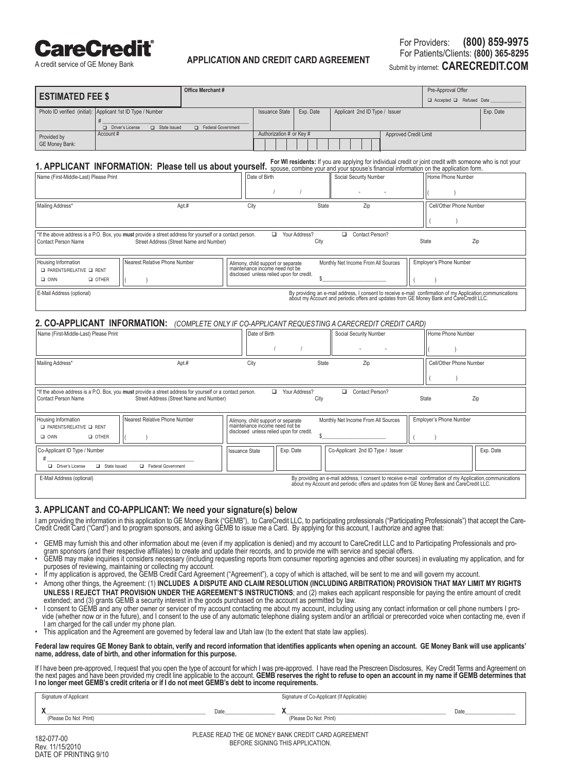

# For Providers: **(800) 859-9975** For Patients/Clients: **(800) 365-8295** A credit service of GE Money Bank **Submit by internet: CARECREDIT.COM**<br>A credit service of GE Money Bank

| <b>Office Merchant#</b>                                                                                                                        |                              |                                                   | Pre-Approval Offer                                       |                       |
|------------------------------------------------------------------------------------------------------------------------------------------------|------------------------------|---------------------------------------------------|----------------------------------------------------------|-----------------------|
|                                                                                                                                                |                              |                                                   | $\Box$ Accepted $\Box$ Refused Date                      |                       |
|                                                                                                                                                | Exp. Date                    |                                                   |                                                          | Exp. Date             |
| Federal Government                                                                                                                             |                              |                                                   |                                                          |                       |
|                                                                                                                                                |                              |                                                   |                                                          |                       |
| 1. APPLICANT INFORMATION: Please tell us about yourself. spouse, combine your and your spouse's financial information on the application form. |                              |                                                   |                                                          |                       |
| Date of Birth                                                                                                                                  |                              |                                                   | Home Phone Number                                        |                       |
|                                                                                                                                                |                              |                                                   |                                                          |                       |
| City                                                                                                                                           | Zip<br>State                 |                                                   | Cell/Other Phone Number                                  |                       |
|                                                                                                                                                | $\Box$ State Issued<br>Apt.# | <b>Issuance State</b><br>Authorization # or Key # | Applicant 2nd ID Type / Issuer<br>Social Security Number | Approved Credit Limit |

| l Contact Person Name                                                               | *If the above address is a P.O. Box, you must provide a street address for yourself or a contact person.<br>Street Address (Street Name and Number) | Your Address?                                                                                                    | Contact Person?<br>City                                                                                                                                                                               | State                   | Zip |
|-------------------------------------------------------------------------------------|-----------------------------------------------------------------------------------------------------------------------------------------------------|------------------------------------------------------------------------------------------------------------------|-------------------------------------------------------------------------------------------------------------------------------------------------------------------------------------------------------|-------------------------|-----|
| Housing Information<br>$\Box$ PARENTS/RELATIVE $\Box$ RENT<br>O OTHER<br>$\Box$ OWN | Nearest Relative Phone Number                                                                                                                       | Alimony, child support or separate<br>maintenance income need not be<br>disclosed unless relied upon for credit. | Monthly Net Income From All Sources                                                                                                                                                                   | Employer's Phone Number |     |
| E-Mail Address (optional)                                                           |                                                                                                                                                     |                                                                                                                  | By providing an e-mail address, I consent to receive e-mail confirmation of my Application, communications<br>about my Account and periodic offers and updates from GE Money Bank and CareCredit LLC. |                         |     |

## **2. CO-APPLICANT INFORMATION:** *(COMPLETE ONLY IF CO-APPLICANT REQUESTING A CARECREDIT CREDIT CARD)*

| Name (First-Middle-Last) Please Print                                                                                                                                             | Date of Birth                                                                                                    | Social Security Number              | Home Phone Number                                                                                                                                                                                  |
|-----------------------------------------------------------------------------------------------------------------------------------------------------------------------------------|------------------------------------------------------------------------------------------------------------------|-------------------------------------|----------------------------------------------------------------------------------------------------------------------------------------------------------------------------------------------------|
|                                                                                                                                                                                   |                                                                                                                  | $\overline{\phantom{a}}$            |                                                                                                                                                                                                    |
| Mailing Address*<br>Apt.#                                                                                                                                                         | City                                                                                                             | Zip<br>State                        | Cell/Other Phone Number                                                                                                                                                                            |
|                                                                                                                                                                                   |                                                                                                                  |                                     |                                                                                                                                                                                                    |
| *If the above address is a P.O. Box, you must provide a street address for yourself or a contact person.<br>Street Address (Street Name and Number)<br><b>Contact Person Name</b> | ▫<br>Your Address?<br>City                                                                                       | o.<br>Contact Person?               | State<br>Zip                                                                                                                                                                                       |
| Housing Information<br>Nearest Relative Phone Number<br>$\Box$ PARENTS/RELATIVE $\Box$ RENT<br>$\Box$ OWN<br>O OTHER                                                              | Alimony, child support or separate<br>maintenance income need not be<br>disclosed unless relied upon for credit. | Monthly Net Income From All Sources | Employer's Phone Number                                                                                                                                                                            |
| Co-Applicant ID Type / Number<br>Federal Government<br>Driver's License<br>State Issued                                                                                           | Exp. Date<br><b>Issuance State</b>                                                                               | Co-Applicant 2nd ID Type / Issuer   | Exp. Date                                                                                                                                                                                          |
| E-Mail Address (optional)                                                                                                                                                         |                                                                                                                  |                                     | By providing an e-mail address, I consent to receive e-mail confirmation of my Application, communications about my Account and periodic offers and updates from GE Money Bank and CareCredit LLC. |

# **3. APPLICANT and CO-APPLICANT: We need your signature(s) below**

I am providing the information in this application to GE Money Bank ("GEMB"), to CareCredit LLC, to participating professionals ("Participating Professionals") that accept the CareCredit Credit Credit Credit Credit Credit

- GEMB may furnish this and other information about me (even if my application is denied) and my account to CareCredit LLC and to Participating Professionals and program sponsors (and their respective affiliates) to create and update their records, and to provide me with service and special offers.
- GEMB may make inquiries it considers necessary (including requesting reports from consumer reporting agencies and other sources) in evaluating my application, and for purposes of reviewing, maintaining or collecting my account.
- If my application is approved, the GEMB Credit Card Agreement ("Agreement"), a copy of which is attached, will be sent to me and will govern my account.
- Among other things, the Agreement: (1) **INCLUDES A DISPUTE AND CLAIM RESOLUTION (INCLUDING ARBITRATION) PROVISION THAT MAY LIMIT MY RIGHTS UNLESS I REJECT THAT PROVISION UNDER THE AGREEMENT'S INSTRUCTIONS**; and (2) makes each applicant responsible for paying the entire amount of credit extended; and (3) grants GEMB a security interest in the goods purchased on the account as permitted by law.
- I consent to GEMB and any other owner or servicer of my account contacting me about my account, including using any contact information or cell phone numbers I pro vide (whether now or in the future), and I consent to the use of any automatic telephone dialing system and/or an artificial or prerecorded voice when contacting me, even if I am charged for the call under my phone plan.
- This application and the Agreement are governed by federal law and Utah law (to the extent that state law applies).

Federal law requires GE Money Bank to obtain, verify and record information that identifies applicants when opening an account. GE Money Bank will use applicants'<br>name, address, date of birth, and other information for th

If I have been pre-approved, I request that you open the type of account for which I was pre-approved. I have read the Prescreen Disclosures, Key Credit Terms and Agreement on the next pages and have been provided my credit line applicable to the account. **GEMB reserves the right to refuse to open an account in my name if GEMB determines that I no longer meet GEMB's credit criteria or if I do not meet GEMB's debt to income requirements.**

| Signature of Applicant |      | Signature of Co-Applicant (If Applicable) |      |
|------------------------|------|-------------------------------------------|------|
| (Please Do Not Print)  | Date | (Please Do Not Print)                     | Date |

PLEASE READ THE GE MONEY BANK CREDIT CARD AGREEMENT BEFORE SIGNING THIS APPLICATION.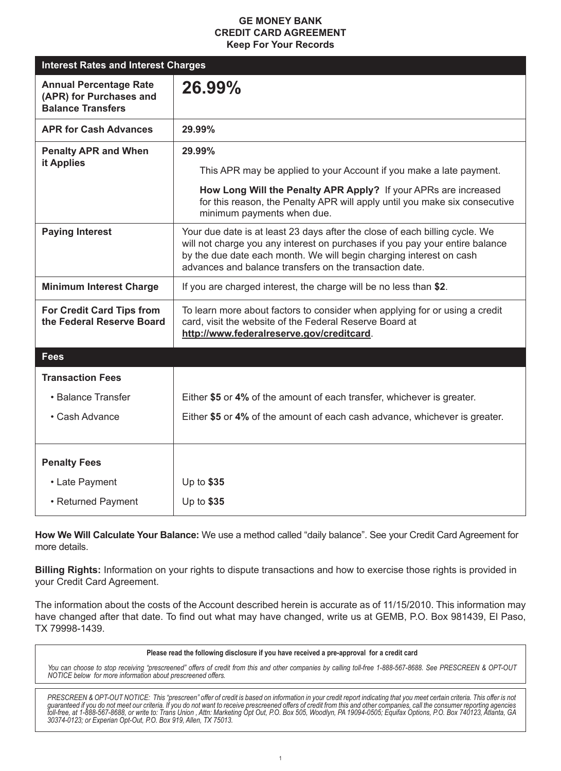# **GE MONEY BANK CREDIT CARD AGREEMENT Keep For Your Records**

| <b>Interest Rates and Interest Charges</b>                                           |                                                                                                                                                                                                                                                                                               |  |  |  |
|--------------------------------------------------------------------------------------|-----------------------------------------------------------------------------------------------------------------------------------------------------------------------------------------------------------------------------------------------------------------------------------------------|--|--|--|
| <b>Annual Percentage Rate</b><br>(APR) for Purchases and<br><b>Balance Transfers</b> | 26.99%                                                                                                                                                                                                                                                                                        |  |  |  |
| <b>APR for Cash Advances</b>                                                         | 29.99%                                                                                                                                                                                                                                                                                        |  |  |  |
| <b>Penalty APR and When</b>                                                          | 29.99%                                                                                                                                                                                                                                                                                        |  |  |  |
| it Applies                                                                           | This APR may be applied to your Account if you make a late payment.                                                                                                                                                                                                                           |  |  |  |
|                                                                                      | How Long Will the Penalty APR Apply? If your APRs are increased<br>for this reason, the Penalty APR will apply until you make six consecutive<br>minimum payments when due.                                                                                                                   |  |  |  |
| <b>Paying Interest</b>                                                               | Your due date is at least 23 days after the close of each billing cycle. We<br>will not charge you any interest on purchases if you pay your entire balance<br>by the due date each month. We will begin charging interest on cash<br>advances and balance transfers on the transaction date. |  |  |  |
| <b>Minimum Interest Charge</b>                                                       | If you are charged interest, the charge will be no less than \$2.                                                                                                                                                                                                                             |  |  |  |
| <b>For Credit Card Tips from</b><br>the Federal Reserve Board                        | To learn more about factors to consider when applying for or using a credit<br>card, visit the website of the Federal Reserve Board at<br>http://www.federalreserve.gov/creditcard.                                                                                                           |  |  |  |
| <b>Fees</b>                                                                          |                                                                                                                                                                                                                                                                                               |  |  |  |
| <b>Transaction Fees</b>                                                              |                                                                                                                                                                                                                                                                                               |  |  |  |
| • Balance Transfer                                                                   | Either \$5 or 4% of the amount of each transfer, whichever is greater.                                                                                                                                                                                                                        |  |  |  |
| • Cash Advance                                                                       | Either \$5 or 4% of the amount of each cash advance, whichever is greater.                                                                                                                                                                                                                    |  |  |  |
|                                                                                      |                                                                                                                                                                                                                                                                                               |  |  |  |
| <b>Penalty Fees</b>                                                                  |                                                                                                                                                                                                                                                                                               |  |  |  |
| • Late Payment                                                                       | Up to $$35$                                                                                                                                                                                                                                                                                   |  |  |  |
| • Returned Payment                                                                   | Up to \$35                                                                                                                                                                                                                                                                                    |  |  |  |

**How We Will Calculate Your Balance:** We use a method called "daily balance". See your Credit Card Agreement for more details.

**Billing Rights:** Information on your rights to dispute transactions and how to exercise those rights is provided in your Credit Card Agreement.

The information about the costs of the Account described herein is accurate as of 11/15/2010. This information may have changed after that date. To find out what may have changed, write us at GEMB, P.O. Box 981439, El Paso, TX 79998-1439.

## **Please read the following disclosure if you have received a pre-approval for a credit card**

You can choose to stop receiving "prescreened" offers of credit from this and other companies by calling toll-free 1-888-567-8688. See PRESCREEN & OPT-OUT<br>NOTICE below for more information about prescreened offers.

PRESCREEN & OPT-OUT NOTICE: This "prescreen" offer of credit is based on information in your credit report indicating that you meet certain criteria. This offer is not<br>guaranteed if you do not meet our criteria. If you do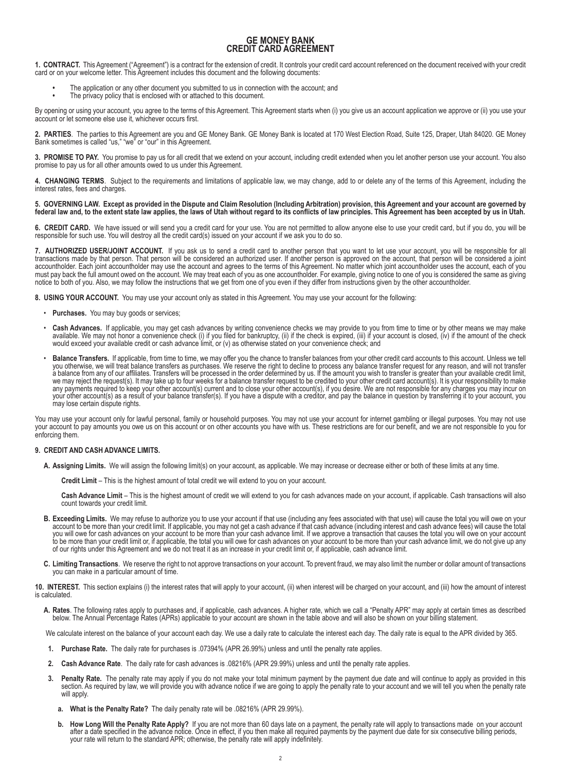## **GE MONEY BANK CREDIT CARD AGREEMENT**

**1. CONTRACT.** This Agreement ("Agreement") is a contract for the extension of credit. It controls your credit card account referenced on the document received with your credit card or on your welcome letter. This Agreement includes this document and the following documents:

**•** The application or any other document you submitted to us in connection with the account; and **•** The privacy policy that is enclosed with or attached to this document.

By opening or using your account, you agree to the terms of this Agreement. This Agreement starts when (i) you give us an account application we approve or (ii) you use your account or let someone else use it, whichever occurs first.

**2. PARTIES**. The parties to this Agreement are you and GE Money Bank. GE Money Bank is located at 170 West Election Road, Suite 125, Draper, Utah 84020. GE Money Bank sometimes is called "us," "we" or "our" in this Agreement.

**3. PROMISE TO PAY.** You promise to pay us for all credit that we extend on your account, including credit extended when you let another person use your account. You also promise to pay us for all other amounts owed to us under this Agreement.

**4. CHANGING TERMS**. Subject to the requirements and limitations of applicable law, we may change, add to or delete any of the terms of this Agreement, including the interest rates, fees and charges.

#### **5. GOVERNING LAW. Except as provided in the Dispute and Claim Resolution (Including Arbitration) provision, this Agreement and your account are governed by federal law and, to the extent state law applies, the laws of Utah without regard to its conflicts of law principles. This Agreement has been accepted by us in Utah.**

**6. CREDIT CARD.** We have issued or will send you a credit card for your use. You are not permitted to allow anyone else to use your credit card, but if you do, you will be responsible for such use. You will destroy all the credit card(s) issued on your account if we ask you to do so.

**7. AUTHORIZED USER/JOINT ACCOUNT.** If you ask us to send a credit card to another person that you want to let use your account, you will be responsible for all transactions made by that person. That person will be considered an authorized user. If another person is approved on the account, that person will be considered a joint accountholder. Each joint accountholder may use the account and agrees to the terms of this Agreement. No matter which joint accountholder uses the account, each of you must pay back the full amount owed on the account. We may treat each of you as one accountholder. For example, giving notice to one of you is considered the same as giving notice to both of you. Also, we may follow the instructions that we get from one of you even if they differ from instructions given by the other accountholder.

**8. USING YOUR ACCOUNT.** You may use your account only as stated in this Agreement. You may use your account for the following:

- **Purchases.** You may buy goods or services;
- Cash Advances. If applicable, you may get cash advances by writing convenience checks we may provide to you from time to time or by other means we may make<br>available. We may not honor a convenience check (i) if you filed would exceed your available credit or cash advance limit, or (v) as otherwise stated on your convenience check; and
- Balance Transfers. If applicable, from time to time, we may offer you the chance to transfer balances from your other credit card accounts to this account. Unless we tell you otherwise, we will treat balance transfers as purchases. We reserve the right to decline to process any balance transfer request for any reason, and will not transfer<br>a balance from any of our affiliates. Transfers wil any payments required to keep your other account(s) current and to close your other account(s), if you desire. We are not responsible for any charges you may incur on<br>your other account(s) as a result of your balance trans may lose certain dispute rights.

You may use your account only for lawful personal, family or household purposes. You may not use your account for internet gambling or illegal purposes. You may not use your account to pay amounts you owe us on this account or on other accounts you have with us. These restrictions are for our benefit, and we are not responsible to you for enforcing them.

## **9. CREDIT AND CASH ADVANCE LIMITS.**

**A. Assigning Limits.** We will assign the following limit(s) on your account, as applicable. We may increase or decrease either or both of these limits at any time.

**Credit Limit** – This is the highest amount of total credit we will extend to you on your account.

**Cash Advance Limit** – This is the highest amount of credit we will extend to you for cash advances made on your account, if applicable. Cash transactions will also count towards your credit limit.

- **B. Exceeding Limits.** We may refuse to authorize you to use your account if that use (including any fees associated with that use) will cause the total you will owe on your account to be more than your credit limit. If applicable, you may not get a cash advance if that cash advance (including interest and cash advance fees) will cause the total you will owe for cash advances on your account to be more than your cash advance limit. If we approve a transaction that causes the total you will owe on your account to be more than your credit limit or, if applicable, the total you will owe for cash advances on your account to be more than your cash advance limit, we do not give up any of our rights under this Agreement and we do not treat it as an increase in your credit limit or, if applicable, cash advance limit.
- **C. Limiting Transactions**. We reserve the right to not approve transactions on your account. To prevent fraud, we may also limit the number or dollar amount of transactions you can make in a particular amount of time.

**10. INTEREST.** This section explains (i) the interest rates that will apply to your account, (ii) when interest will be charged on your account, and (iii) how the amount of interest is calculated.

**A. Rates**. The following rates apply to purchases and, if applicable, cash advances. A higher rate, which we call a "Penalty APR" may apply at certain times as described<br>below. The Annual Percentage Rates (APRs) applicabl

We calculate interest on the balance of your account each day. We use a daily rate to calculate the interest each day. The daily rate is equal to the APR divided by 365.

- **1. Purchase Rate.** The daily rate for purchases is .07394% (APR 26.99%) unless and until the penalty rate applies.
- **2. Cash Advance Rate**. The daily rate for cash advances is .08216% (APR 29.99%) unless and until the penalty rate applies.
- **3. Penalty Rate.** The penalty rate may apply if you do not make your total minimum payment by the payment due date and will continue to apply as provided in this section. As required by law, we will provide you with advance notice if we are going to apply the penalty rate to your account and we will tell you when the penalty rate will apply.
	- **a. What is the Penalty Rate?** The daily penalty rate will be .08216% (APR 29.99%).
	- b. How Long Will the Penalty Rate Apply? If you are not more than 60 days late on a payment, the penalty rate will apply to transactions made on your account after a date specified in the advance notice. Once in effect, if your rate will return to the standard APR; otherwise, the penalty rate will apply indefinitely.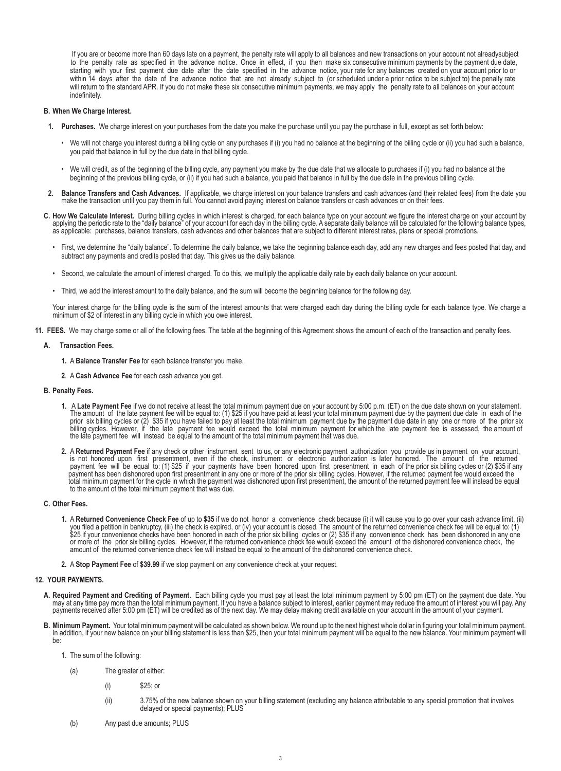If you are or become more than 60 days late on a payment, the penalty rate will apply to all balances and new transactions on your account not alreadysubject to the penalty rate as specified in the advance notice. Once in effect, if you then make six consecutive minimum payments by the payment due date, starting with your first payment due date after the date specified in the advance notice, your rate for any balances created on your account prior to or within 14 days after the date of the advance notice that are not already subject to (or scheduled under a prior notice to be subject to) the penalty rate will return to the standard APR. If you do not make these six consecutive minimum payments, we may apply the penalty rate to all balances on your account indefinitely.

## **B. When We Charge Interest.**

- **1. Purchases.** We charge interest on your purchases from the date you make the purchase until you pay the purchase in full, except as set forth below:
	- We will not charge you interest during a billing cycle on any purchases if (i) you had no balance at the beginning of the billing cycle or (ii) you had such a balance, you paid that balance in full by the due date in that billing cycle.
	- We will credit, as of the beginning of the billing cycle, any payment you make by the due date that we allocate to purchases if (i) you had no balance at the beginning of the previous billing cycle, or (ii) if you had such a balance, you paid that balance in full by the due date in the previous billing cycle.
- **2. Balance Transfers and Cash Advances.** If applicable, we charge interest on your balance transfers and cash advances (and their related fees) from the date you make the transaction until you pay them in full. You cannot avoid paying interest on balance transfers or cash advances or on their fees.
- **C. How We Calculate Interest.** During billing cycles in which interest is charged, for each balance type on your account we figure the interest charge on your account by applying the periodic rate to the "daily balance" of your account for each day in the billing cycle. A separate daily balance will be calculated for the following balance types,<br>as applicable: purchases, balance transfers
	- First, we determine the "daily balance". To determine the daily balance, we take the beginning balance each day, add any new charges and fees posted that day, and subtract any payments and credits posted that day. This gives us the daily balance.
	- Second, we calculate the amount of interest charged. To do this, we multiply the applicable daily rate by each daily balance on your account.
	- Third, we add the interest amount to the daily balance, and the sum will become the beginning balance for the following day.

Your interest charge for the billing cycle is the sum of the interest amounts that were charged each day during the billing cycle for each balance type. We charge a minimum of \$2 of interest in any billing cycle in which you owe interest.

**11. FEES.** We may charge some or all of the following fees. The table at the beginning of this Agreement shows the amount of each of the transaction and penalty fees.

#### **A. Transaction Fees.**

- **1.** A **Balance Transfer Fee** for each balance transfer you make.
- **2**. A **Cash Advance Fee** for each cash advance you get.

#### **B. Penalty Fees.**

- 1. A Late Payment Fee if we do not receive at least the total minimum payment due on your account by 5:00 p.m. (ET) on the due date shown on your statement.<br>The amount of the late payment fee will be equal to: (1) \$25 if y
- A Returned Payment Fee if any check or other instrument sent to us, or any electronic payment authorization you provide us in payment on your account,<br>is not honored upon first presentment, even if the check, instrument or payment has been dishonored upon first presentment in any one or more of the prior six billing cycles. However, if the returned payment fee would exceed the<br>total minimum payment for the cycle in which the payment was dish

## **C. Other Fees.**

- 1. A Returned Convenience Check Fee of up to \$35 if we do not honor a convenience check because (i) it will cause you to go over your cash advance limit, (ii) you filed a petition in bankruptcy, (iii) the check is expired, or more of the prior six billing cycles. However, if the returned convenience check fee would exceed the amount of the dishonored convenience check, the amount of the returned convenience check, the
- **2.** A **Stop Payment Fee** of **\$39.99** if we stop payment on any convenience check at your request.

#### **12. YOUR PAYMENTS.**

- **A. Required Payment and Crediting of Payment.** Each billing cycle you must pay at least the total minimum payment by 5:00 pm (ET) on the payment due date. You may at any time pay more than the total minimum payment. If you have a balance subject to interest, earlier payment may reduce the amount of interest you will pay. Any payments received after 5:00 pm (ET) will be credited as of the next day. We may delay making credit available on your account in the amount of your payment.
- B. Minimum Payment. Your total minimum payment will be calculated as shown below. We round up to the next highest whole dollar in figuring your total minimum payment.<br>In addition, if your new balance on your billing statem be:
	- 1. The sum of the following:
		- (a) The greater of either:
			- (i) \$25; or
			- (ii) 3.75% of the new balance shown on your billing statement (excluding any balance attributable to any special promotion that involves delayed or special payments); PLUS
		- (b) Any past due amounts; PLUS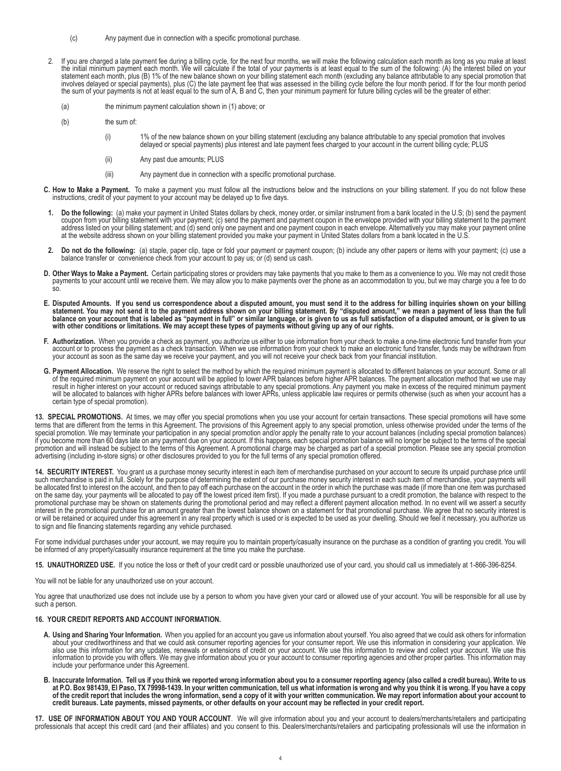- (c) Any payment due in connection with a specific promotional purchase.
- 2. If you are charged a late payment fee during a billing cycle, for the next four months, we will make the following calculation each month as long as you make at least the initial minimum payment each month. We will calculate if the total of your payments is at least equal to the sum of the following: (A) the interest billed on your statement each month, plus (B) 1% of the new balance shown on your billing statement each month (excluding any balance attributable to any special promotion that<br>involves delayed or special payments), plus (C) the late pay the sum of your payments is not at least equal to the sum of A, B and C, then your minimum payment for future billing cycles will be the greater of either:
	- (a) the minimum payment calculation shown in (1) above; or
	- (b) the sum of:
		- (i) 1% of the new balance shown on your billing statement (excluding any balance attributable to any special promotion that involves delayed or special payments) plus interest and late payment fees charged to your account in the current billing cycle; PLUS
		- (ii) Any past due amounts; PLUS
		- (iii) Any payment due in connection with a specific promotional purchase.
- C. How to Make a Payment. To make a payment you must follow all the instructions below and the instructions on your billing statement. If you do not follow these instructions, credit of your payment to your account may be
- 1. Do the following: (a) make your payment in United States dollars by check, money order, or similar instrument from a bank located in the U.S; (b) send the payment and payment and payment coupon in the envelope provided address listed on your billing statement; and (d) send only one payment and one payment coupon in each envelope. Alternatively you may make your payment online at the website address shown on your billing statement provided you make your payment in United States dollars from a bank located in the U.S.
- 2. Do not do the following: (a) staple, paper clip, tape or fold your payment or payment coupon; (b) include any other papers or items with your payment; (c) use a balance transfer or convenience check from your account to
- D. Other Ways to Make a Payment. Certain participating stores or providers may take payments that you make to them as a convenience to you. We may not credit those por extra the payments over the phone as an accommodation so.
- **E. Disputed Amounts. If you send us correspondence about a disputed amount, you must send it to the address for billing inquiries shown on your billing**  statement. You may not send it to the payment address shown on your billing statement. By "disputed amount," we mean a payment of less than the full<br>balance on your account that is labeled as "payment in full" or similar l
- F. Authorization. When you provide a check as payment, you authorize us either to use information from your check to make a one-time electronic fund transfer from your<br>account or to process the payment as a check transacti your account as soon as the same day we receive your payment, and you will not receive your check back from your financial institution.
- **G. Payment Allocation.** We reserve the right to select the method by which the required minimum payment is allocated to different balances on your account. Some or all<br>of the required to interval be applied to lower APR b certain type of special promotion).

**13. SPECIAL PROMOTIONS.** At times, we may offer you special promotions when you use your account for certain transactions. These special promotions will have some terms that are different from the terms in this Agreement. The provisions of this Agreement apply to any special promotion, unless otherwise provided under the terms of the special promotion. We may terminate your participation in any special promotion and/or apply the penalty rate to your account balances (including special promotion balances) if you become more than 60 days late on any payment due on your account. If this happens, each special promotion balance will no longer be subject to the terms of the special promotion and will instead be subject to the terms of this Agreement. A promotional charge may be charged as part of a special promotion. Please see any special promotion advertising (including in-store signs) or other disclosures provided to you for the full terms of any special promotion offered.

**14. SECURITY INTEREST.** You grant us a purchase money security interest in each item of merchandise purchased on your account to secure its unpaid purchase price until such merchandise is paid in full. Solely for the purpose of determining the extent of our purchase money security interest in each such item of merchandise, your payments will be allocated first to interest on the account, and then to pay off each purchase on the account in the order in which the purchase was made (if more than one item was purchased on the same day, your payments will be allocated to pay off the lowest priced item first). If you made a purchase pursuant to a credit promotion, the balance with respect to the promotional purchase may be shown on statements during the promotional period and may reflect a different payment allocation method. In no event will we assert a security interest in the promotional purchase for an amount greater than the lowest balance shown on a statement for that promotional purchase. We agree that no security interest is or will be retained or acquired under this agreement in any real property which is used or is expected to be used as your dwelling. Should we feel it necessary, you authorize us to sign and file financing statements regarding any vehicle purchased.

For some individual purchases under your account, we may require you to maintain property/casualty insurance on the purchase as a condition of granting you credit. You will be informed of any property/casualty insurance requirement at the time you make the purchase.

**15. UNAUTHORIZED USE.** If you notice the loss or theft of your credit card or possible unauthorized use of your card, you should call us immediately at 1-866-396-8254.

You will not be liable for any unauthorized use on your account.

You agree that unauthorized use does not include use by a person to whom you have given your card or allowed use of your account. You will be responsible for all use by such a person.

#### **16. YOUR CREDIT REPORTS AND ACCOUNT INFORMATION.**

- **A. Using and Sharing Your Information.** When you applied for an account you gave us information about yourself. You also agreed that we could ask others for information about your creditworthiness and that we could ask consumer reporting agencies for your consumer report. We use this information in considering your application. We also use this information for any updates, renewals or extensions of credit on your account. We use this information to review and collect your account. We use this information to provide you with offers. We may give information about you or your account to consumer reporting agencies and other proper parties. This information may include your performance under this Agreement.
- B. Inaccurate Information. Tell us if you think we reported wrong information about you to a consumer reporting agency (also called a credit bureau). Write to us<br>at P.O. Box 981439. El Paso, TX 79998-1439. In your written

**17. USE OF INFORMATION ABOUT YOU AND YOUR ACCOUNT**. We will give information about you and your account to dealers/merchants/retailers and participating professionals that accept this credit card (and their affiliates) and you consent to this. Dealers/merchants/retailers and participating professionals will use the information in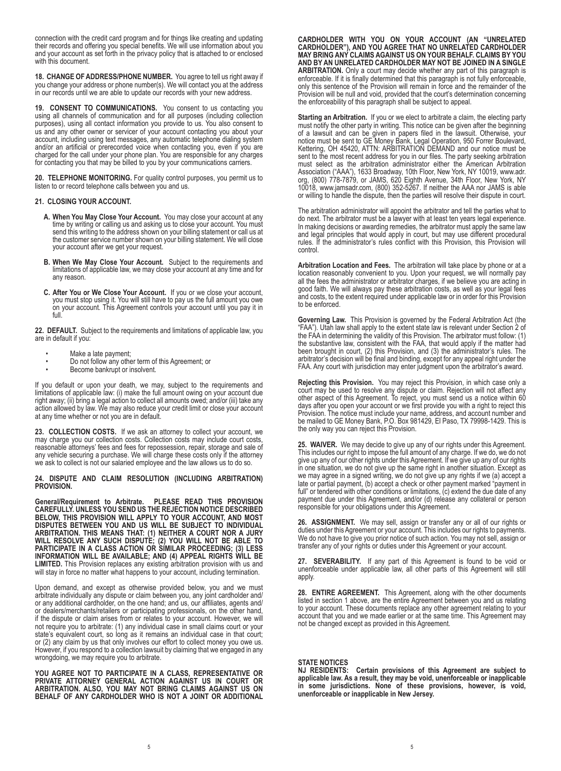connection with the credit card program and for things like creating and updating their records and offering you special benefits. We will use information about you and your account as set forth in the privacy policy that is attached to or enclosed with this document.

**18. CHANGE OF ADDRESS/PHONE NUMBER.** You agree to tell us right away if you change your address or phone number(s). We will contact you at the address in our records until we are able to update our records with your new address.

**19. CONSENT TO COMMUNICATIONS.** You consent to us contacting you using all channels of communication and for all purposes (including collection purposes), using all contact information you provide to us. You also consent to us and any other owner or servicer of your account contacting you about your account, including using text messages, any automatic telephone dialing system and/or an artificial or prerecorded voice when contacting you, even if you are charged for the call under your phone plan. You are responsible for any charges for contacting you that may be billed to you by your communications carriers.

**20. TELEPHONE MONITORING.** For quality control purposes, you permit us to listen to or record telephone calls between you and us.

#### **21. CLOSING YOUR ACCOUNT.**

- A. When You May Close Your Account. You may close your account at any<br>time by writing or calling us and asking us to close your account. You must<br>send this writing to the address shown on your billing statement or call us the customer service number shown on your billing statement. We will close your account after we get your request.
- **B. When We May Close Your Account.** Subject to the requirements and limitations of applicable law, we may close your account at any time and for any reason.
- **C. After You or We Close Your Account.** If you or we close your account, you must stop using it. You will still have to pay us the full amount you owe on your account. This Agreement controls your account until you pay it in full.

**22. DEFAULT.** Subject to the requirements and limitations of applicable law, you are in default if you:

- Make a late payment;<br>• Do not follow any other
- Do not follow any other term of this Agreement; or
- Become bankrupt or insolvent.

If you default or upon your death, we may, subject to the requirements and limitations of applicable law: (i) make the full amount owing on your account due right away; (ii) bring a legal action to collect all amounts owed; and/or (iii) take any action allowed by law. We may also reduce your credit limit or close your account at any time whether or not you are in default.

**23. COLLECTION COSTS.** If we ask an attorney to collect your account, we may charge you our collection costs. Collection costs may include court costs, reasonable attorneys' fees and fees for repossession, repair, storage and sale of any vehicle securing a purchase. We will charge these costs only if the attorney we ask to collect is not our salaried employee and the law allows us to do so.

#### **24. DISPUTE AND CLAIM RESOLUTION (INCLUDING ARBITRATION) PROVISION.**

**General/Requirement to Arbitrate. PLEASE READ THIS PROVISION CAREFULLY. UNLESS YOU SEND US THE REJECTION NOTICE DESCRIBED BELOW, THIS PROVISION WILL APPLY TO YOUR ACCOUNT, AND MOST DISPUTES BETWEEN YOU AND US WILL BE SUBJECT TO INDIVIDUAL ARBITRATION. THIS MEANS THAT: (1) NEITHER A COURT NOR A JURY WILL RESOLVE ANY SUCH DISPUTE; (2) YOU WILL NOT BE ABLE TO PARTICIPATE IN A CLASS ACTION OR SIMILAR PROCEEDING; (3) LESS INFORMATION WILL BE AVAILABLE; AND (4) APPEAL RIGHTS WILL BE LIMITED.** This Provision replaces any existing arbitration provision with us and will stay in force no matter what happens to your account, including termination.

Upon demand, and except as otherwise provided below, you and we must arbitrate individually any dispute or claim between you, any joint cardholder and/ or any additional cardholder, on the one hand; and us, our affiliates, agents and/ or dealers/merchants/retailers or participating professionals, on the other hand, if the dispute or claim arises from or relates to your account. However, we will not require you to arbitrate: (1) any individual case in small claims court or your state's equivalent court, so long as it remains an individual case in that court; or (2) any claim by us that only involves our effort to collect money you owe us. However, if you respond to a collection lawsuit by claiming that we engaged in any wrongdoing, we may require you to arbitrate.

**YOU AGREE NOT TO PARTICIPATE IN A CLASS, REPRESENTATIVE OR PRIVATE ATTORNEY GENERAL ACTION AGAINST US IN COURT OR ARBITRATION. ALSO, YOU MAY NOT BRING CLAIMS AGAINST US ON BEHALF OF ANY CARDHOLDER WHO IS NOT A JOINT OR ADDITIONAL** 

**CARDHOLDER WITH YOU ON YOUR ACCOUNT (AN "UNRELATED CARDHOLDER"), AND YOU AGREE THAT NO UNRELATED CARDHOLDER MAY BRING ANY CLAIMS AGAINST US ON YOUR BEHALF. CLAIMS BY YOU AND BY AN UNRELATED CARDHOLDER MAY NOT BE JOINED IN A SINGLE ARBITRATION.** Only a court may decide whether any part of this paragraph is enforceable. If it is finally determined that this paragraph is not fully enforceable, only this sentence of the Provision will remain in force and the remainder of the Provision will be null and void, provided that the court's determination concerning the enforceability of this paragraph shall be subject to appeal.

**Starting an Arbitration.** If you or we elect to arbitrate a claim, the electing party must notify the other party in writing. This notice can be given after the beginning of a lawsuit and can be given in papers filed in the lawsuit. Otherwise, your notice must be sent to GE Money Bank, Legal Operation, 950 Forrer Boulevard, Kettering, OH 45420, ATTN: ARBITRATION DEMAND and our notice must be sent to the most recent address for you in our files. The party seeking arbitration must select as the arbitration administrator either the American Arbitration Association ("AAA"), 1633 Broadway, 10th Floor, New York, NY 10019, www.adr. org, (800) 778-7879, or JAMS, 620 Eighth Avenue, 34th Floor, New York, NY 10018, www.jamsadr.com, (800) 352-5267. If neither the AAA nor JAMS is able or willing to handle the dispute, then the parties will resolve their dispute in court.

The arbitration administrator will appoint the arbitrator and tell the parties what to do next. The arbitrator must be a lawyer with at least ten years legal experience. In making decisions or awarding remedies, the arbitrator must apply the same law and legal principles that would apply in court, but may use different procedural rules. If the administrator's rules conflict with this Provision, this Provision will control.

**Arbitration Location and Fees.** The arbitration will take place by phone or at a location reasonably convenient to you. Upon your request, we will normally pay all the fees the administrator or arbitrator charges, if we believe you are acting in good faith. We will always pay these arbitration costs, as well as your legal fees and costs, to the extent required under applicable law or in order for this Provision to be enforced.

**Governing Law.** This Provision is governed by the Federal Arbitration Act (the "FAA"). Utah law shall apply to the extent state law is relevant under Section 2 of the FAA in determining the validity of this Provision. The arbitrator must follow: (1) the substantive law, consistent with the FAA, that would apply if the matter had been brought in court, (2) this Provision, and (3) the administrator's rules. The arbitrator's decision will be final and binding, except for any appeal right under the FAA. Any court with jurisdiction may enter judgment upon the arbitrator's award.

**Rejecting this Provision.** You may reject this Provision, in which case only a court may be used to resolve any dispute or claim. Rejection will not affect any other aspect of this Agreement. To reject, you must send us a notice within 60 days after you open your account or we first provide you with a right to reject this Provision. The notice must include your name, address, and account number and be mailed to GE Money Bank, P.O. Box 981429, El Paso, TX 79998-1429. This is the only way you can reject this Provision.

**25. WAIVER.** We may decide to give up any of our rights under this Agreement. This includes our right to impose the full amount of any charge. If we do, we do not give up any of our other rights under this Agreement. If we give up any of our rights in one situation, we do not give up the same right in another situation. Except as we may agree in a signed writing, we do not give up any rights if we (a) accept a late or partial payment, (b) accept a check or other payment marked "payment in full" or tendered with other conditions or limitations, (c) extend the due date of any payment due under this Agreement, and/or (d) release any collateral or person responsible for your obligations under this Agreement.

**26. ASSIGNMENT.** We may sell, assign or transfer any or all of our rights or duties under this Agreement or your account. This includes our rights to payments. We do not have to give you prior notice of such action. You may not sell, assign or transfer any of your rights or duties under this Agreement or your account.

**27. SEVERABILITY.** If any part of this Agreement is found to be void or unenforceable under applicable law, all other parts of this Agreement will still apply.

**28. ENTIRE AGREEMENT.** This Agreement, along with the other documents listed in section 1 above, are the entire Agreement between you and us relating to your account. These documents replace any other agreement relating to your account that you and we made earlier or at the same time. This Agreement may not be changed except as provided in this Agreement.

## **STATE NOTICES**

**NJ RESIDENTS: Certain provisions of this Agreement are subject to applicable law. As a result, they may be void, unenforceable or inapplicable in some jurisdictions. None of these provisions, however, is void, unenforceable or inapplicable in New Jersey.**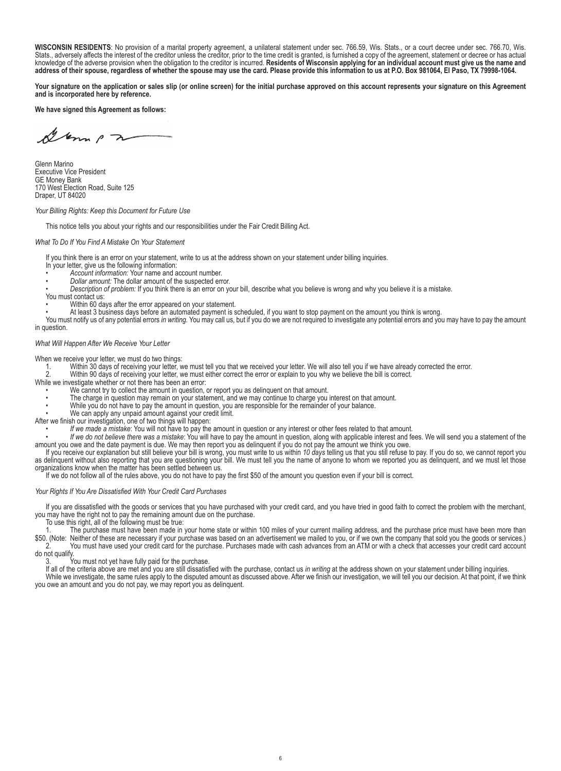**WISCONSIN RESIDENTS**: No provision of a marital property agreement, a unilateral statement under sec. 766.59, Wis. Stats., or a court decree under sec. 766.70, Wis. Stats., adversely affects the interest of the creditor unless the creditor, prior to the time credit is granted, is furnished a copy of the agreement, statement or decree or has actual knowledge of the adverse provision when the obligation to the creditor is incurred. **Residents of Wisconsin applying for an individual account must give us the name and address of their spouse, regardless of whether the spouse may use the card. Please provide this information to us at P.O. Box 981064, El Paso, TX 79998-1064.**

**Your signature on the application or sales slip (or online screen) for the initial purchase approved on this account represents your signature on this Agreement and is incorporated here by reference.**

**We have signed this Agreement as follows:** 

Gram pm

Glenn Marino Executive Vice President GE Money Bank 170 West Election Road, Suite 125 Draper, UT 84020

*Your Billing Rights: Keep this Document for Future Use*

This notice tells you about your rights and our responsibilities under the Fair Credit Billing Act.

*What To Do If You Find A Mistake On Your Statement*

If you think there is an error on your statement, write to us at the address shown on your statement under billing inquiries.

- In your letter, give us the following information:
- *Account information:* Your name and account number.
- *Dollar amount:* The dollar amount of the suspected error.

Description of problem: If you think there is an error on your bill, describe what you believe is wrong and why you believe it is a mistake.

- You must contact us:
- Within 60 days after the error appeared on your statement.
- At least 3 business days before an automated payment is scheduled, if you want to stop payment on the amount you think is wrong.

You must notify us of any potential errors *in writing.* You may call us, but if you do we are not required to investigate any potential errors and you may have to pay the amount in question.

*What Will Happen After We Receive Your Letter*

When we receive your letter, we must do two things:<br>1. Within 30 days of receiving your letter, w

- 1. Within 30 days of receiving your letter, we must tell you that we received your letter. We will also tell you if we have already corrected the error.<br>2. Within 90 days of receiving your letter, we must either correct th
- 2. Within 90 days of receiving your letter, we must either correct the error or explain to you why we believe the bill is correct.
- While we investigate whether or not there has been an error:
	- We cannot try to collect the amount in question, or report you as delinquent on that amount.
	- The charge in question may remain on your statement, and we may continue to charge you interest on that amount.
	- While you do not have to pay the amount in question, you are responsible for the remainder of your balance.
	- We can apply any unpaid amount against your credit limit.

After we finish our investigation, one of two things will happen:

If we made a mistake: You will not have to pay the amount in question or any interest or other fees related to that amount.

• *If we do not believe there was a mistake*: You will have to pay the amount in question, along with applicable interest and fees. We will send you a statement of the amount you owe and the date payment is due. We may then report you as delinquent if you do not pay the amount we think you owe.

If you receive our explanation but still believe your bill is wrong, you must write to us within *10 days* telling us that you still refuse to pay. If you do so, we cannot report you as delinquent without also reporting that you are questioning your bill. We must tell you the name of anyone to whom we reported you as delinquent, and we must let those organizations know when the matter has been settled between us.

If we do not follow all of the rules above, you do not have to pay the first \$50 of the amount you question even if your bill is correct.

## *Your Rights If You Are Dissatisfied With Your Credit Card Purchases*

If you are dissatisfied with the goods or services that you have purchased with your credit card, and you have tried in good faith to correct the problem with the merchant, you may have the right not to pay the remaining amount due on the purchase.

To use this right, all of the following must be true:

1. The purchase must have been made in your home state or within 100 miles of your current mailing address, and the purchase price must have been more than \$50. (Note: Neither of these are necessary if your purchase was based on an advertisement we mailed to you, or if we own the company that sold you the goods or services.) 2. You must have used your credit card for the purchase. Purchases made with cash advances from an ATM or with a check that accesses your credit card account do not qualify.

3. You must not yet have fully paid for the purchase.

If all of the criteria above are met and you are still dissatisfied with the purchase, contact us *in writing* at the address shown on your statement under billing inquiries. While we investigate, the same rules apply to the disputed amount as discussed above. After we finish our investigation, we will tell you our decision. At that point, if we think

you owe an amount and you do not pay, we may report you as delinquent.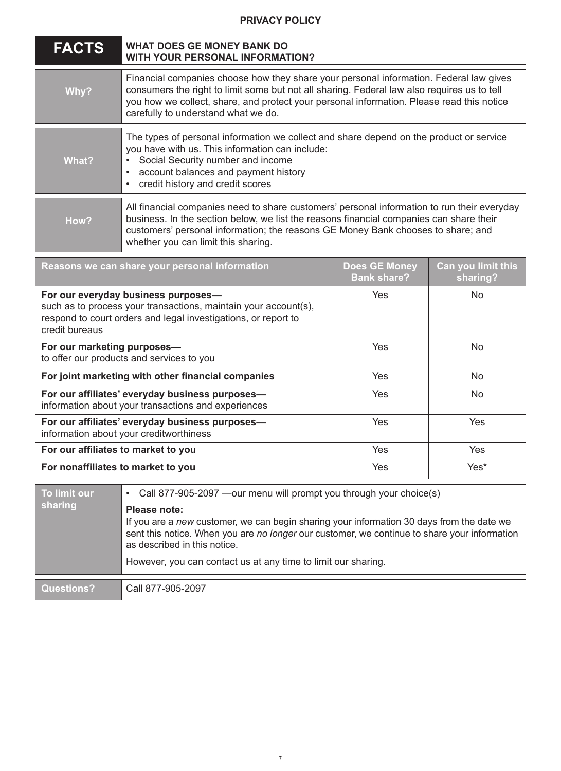# **privacy policy**

| <b>FACTS</b>                                                                                                                                                                                                                                                                                                              | <b>WHAT DOES GE MONEY BANK DO</b><br><b>WITH YOUR PERSONAL INFORMATION?</b>                                                                                                                                                                                                                                               |                                            |                                |
|---------------------------------------------------------------------------------------------------------------------------------------------------------------------------------------------------------------------------------------------------------------------------------------------------------------------------|---------------------------------------------------------------------------------------------------------------------------------------------------------------------------------------------------------------------------------------------------------------------------------------------------------------------------|--------------------------------------------|--------------------------------|
| Why?                                                                                                                                                                                                                                                                                                                      | Financial companies choose how they share your personal information. Federal law gives<br>consumers the right to limit some but not all sharing. Federal law also requires us to tell<br>you how we collect, share, and protect your personal information. Please read this notice<br>carefully to understand what we do. |                                            |                                |
| What?                                                                                                                                                                                                                                                                                                                     | The types of personal information we collect and share depend on the product or service<br>you have with us. This information can include:<br>Social Security number and income<br>account balances and payment history<br>credit history and credit scores                                                               |                                            |                                |
| All financial companies need to share customers' personal information to run their everyday<br>business. In the section below, we list the reasons financial companies can share their<br>How?<br>customers' personal information; the reasons GE Money Bank chooses to share; and<br>whether you can limit this sharing. |                                                                                                                                                                                                                                                                                                                           |                                            |                                |
| Reasons we can share your personal information                                                                                                                                                                                                                                                                            |                                                                                                                                                                                                                                                                                                                           | <b>Does GE Money</b><br><b>Bank share?</b> | Can you limit this<br>sharing? |

|                                                                                                                                                                                            | <b>Bank share?</b> | sharing? |
|--------------------------------------------------------------------------------------------------------------------------------------------------------------------------------------------|--------------------|----------|
| For our everyday business purposes-<br>such as to process your transactions, maintain your account(s),<br>respond to court orders and legal investigations, or report to<br>credit bureaus | Yes                | No.      |
| For our marketing purposes-<br>to offer our products and services to you                                                                                                                   | Yes                | No.      |
| For joint marketing with other financial companies                                                                                                                                         | Yes                | No.      |
| For our affiliates' everyday business purposes-<br>information about your transactions and experiences                                                                                     | Yes                | No.      |
| For our affiliates' everyday business purposes-<br>information about your creditworthiness                                                                                                 | Yes                | Yes      |
| For our affiliates to market to you                                                                                                                                                        | Yes                | Yes      |
| For nonaffiliates to market to you                                                                                                                                                         | Yes                | Yes*     |

| To limit our<br>sharing | • Call 877-905-2097 —our menu will prompt you through your choice(s)<br>Please note:<br>If you are a new customer, we can begin sharing your information 30 days from the date we<br>sent this notice. When you are no longer our customer, we continue to share your information<br>as described in this notice.<br>However, you can contact us at any time to limit our sharing. |
|-------------------------|------------------------------------------------------------------------------------------------------------------------------------------------------------------------------------------------------------------------------------------------------------------------------------------------------------------------------------------------------------------------------------|
| Questions?              | Call 877-905-2097                                                                                                                                                                                                                                                                                                                                                                  |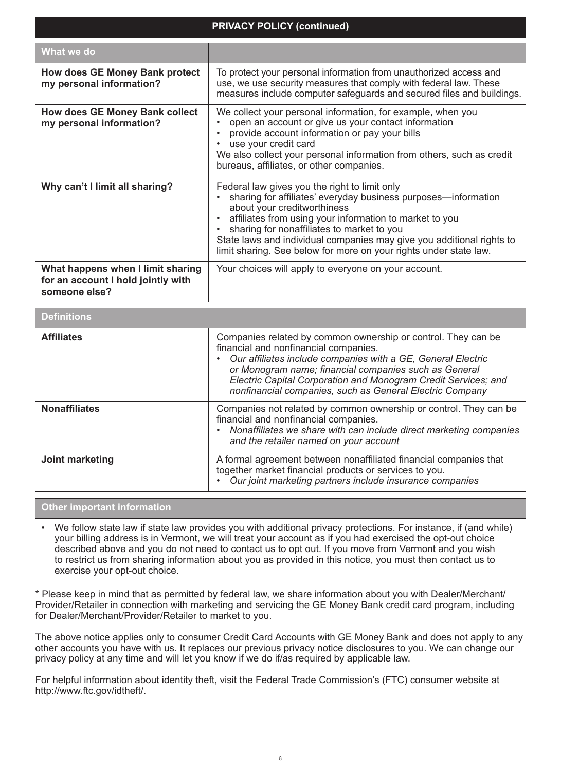# **privacy policy (continued)**

| What we do                                                                               |                                                                                                                                                                                                                                                                                                                                                                                                       |
|------------------------------------------------------------------------------------------|-------------------------------------------------------------------------------------------------------------------------------------------------------------------------------------------------------------------------------------------------------------------------------------------------------------------------------------------------------------------------------------------------------|
| How does GE Money Bank protect<br>my personal information?                               | To protect your personal information from unauthorized access and<br>use, we use security measures that comply with federal law. These<br>measures include computer safeguards and secured files and buildings.                                                                                                                                                                                       |
| <b>How does GE Money Bank collect</b><br>my personal information?                        | We collect your personal information, for example, when you<br>open an account or give us your contact information<br>provide account information or pay your bills<br>use your credit card<br>We also collect your personal information from others, such as credit<br>bureaus, affiliates, or other companies.                                                                                      |
| Why can't I limit all sharing?                                                           | Federal law gives you the right to limit only<br>sharing for affiliates' everyday business purposes-information<br>about your creditworthiness<br>affiliates from using your information to market to you<br>sharing for nonaffiliates to market to you<br>State laws and individual companies may give you additional rights to<br>limit sharing. See below for more on your rights under state law. |
| What happens when I limit sharing<br>for an account I hold jointly with<br>someone else? | Your choices will apply to everyone on your account.                                                                                                                                                                                                                                                                                                                                                  |

| <b>Definitions</b>   |                                                                                                                                                                                                                                                                                                                                                               |  |  |  |
|----------------------|---------------------------------------------------------------------------------------------------------------------------------------------------------------------------------------------------------------------------------------------------------------------------------------------------------------------------------------------------------------|--|--|--|
| <b>Affiliates</b>    | Companies related by common ownership or control. They can be<br>financial and nonfinancial companies.<br>Our affiliates include companies with a GE, General Electric<br>or Monogram name; financial companies such as General<br>Electric Capital Corporation and Monogram Credit Services; and<br>nonfinancial companies, such as General Electric Company |  |  |  |
| <b>Nonaffiliates</b> | Companies not related by common ownership or control. They can be<br>financial and nonfinancial companies.<br>• Nonaffiliates we share with can include direct marketing companies<br>and the retailer named on your account                                                                                                                                  |  |  |  |
| Joint marketing      | A formal agreement between nonaffiliated financial companies that<br>together market financial products or services to you.<br>Our joint marketing partners include insurance companies                                                                                                                                                                       |  |  |  |

# **Other important information**

• We follow state law if state law provides you with additional privacy protections. For instance, if (and while) your billing address is in Vermont, we will treat your account as if you had exercised the opt-out choice described above and you do not need to contact us to opt out. If you move from Vermont and you wish to restrict us from sharing information about you as provided in this notice, you must then contact us to exercise your opt-out choice.

\* Please keep in mind that as permitted by federal law, we share information about you with Dealer/Merchant/ Provider/Retailer in connection with marketing and servicing the GE Money Bank credit card program, including for Dealer/Merchant/Provider/Retailer to market to you.

The above notice applies only to consumer Credit Card Accounts with GE Money Bank and does not apply to any other accounts you have with us. It replaces our previous privacy notice disclosures to you. We can change our privacy policy at any time and will let you know if we do if/as required by applicable law.

For helpful information about identity theft, visit the Federal Trade Commission's (FTC) consumer website at http://www.ftc.gov/idtheft/.